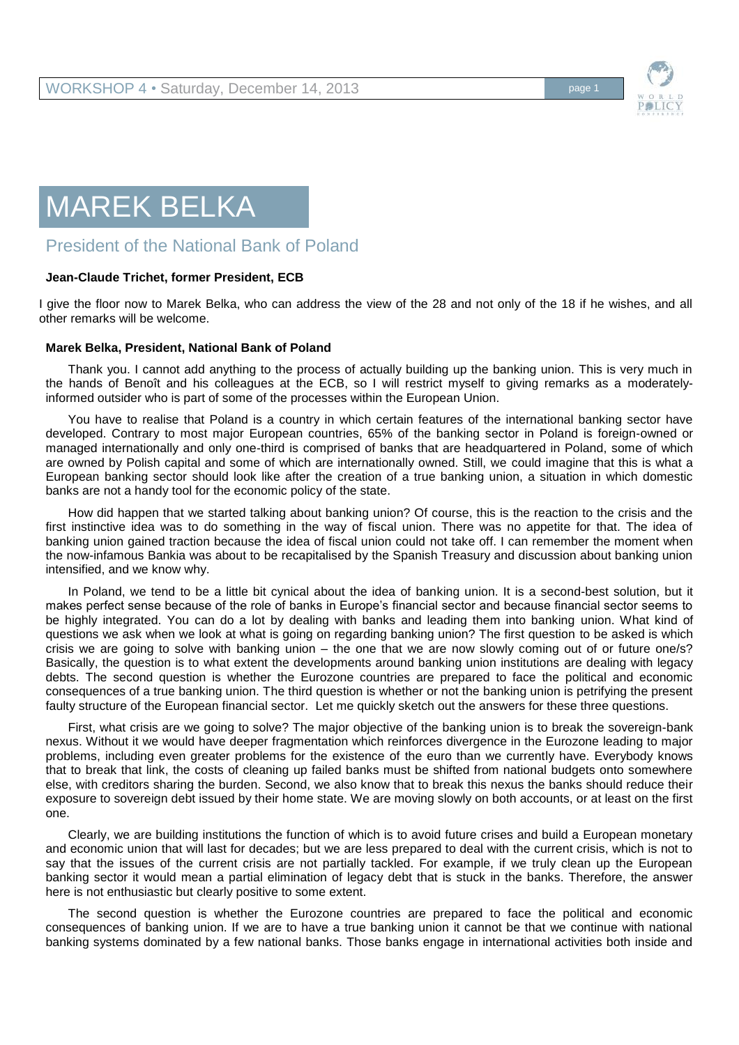

## MAREK BELKA

## President of the National Bank of Poland

## **Jean-Claude Trichet, former President, ECB**

I give the floor now to Marek Belka, who can address the view of the 28 and not only of the 18 if he wishes, and all other remarks will be welcome.

## **Marek Belka, President, National Bank of Poland**

Thank you. I cannot add anything to the process of actually building up the banking union. This is very much in the hands of Benoît and his colleagues at the ECB, so I will restrict myself to giving remarks as a moderatelyinformed outsider who is part of some of the processes within the European Union.

You have to realise that Poland is a country in which certain features of the international banking sector have developed. Contrary to most major European countries, 65% of the banking sector in Poland is foreign-owned or managed internationally and only one-third is comprised of banks that are headquartered in Poland, some of which are owned by Polish capital and some of which are internationally owned. Still, we could imagine that this is what a European banking sector should look like after the creation of a true banking union, a situation in which domestic banks are not a handy tool for the economic policy of the state.

How did happen that we started talking about banking union? Of course, this is the reaction to the crisis and the first instinctive idea was to do something in the way of fiscal union. There was no appetite for that. The idea of banking union gained traction because the idea of fiscal union could not take off. I can remember the moment when the now-infamous Bankia was about to be recapitalised by the Spanish Treasury and discussion about banking union intensified, and we know why.

In Poland, we tend to be a little bit cynical about the idea of banking union. It is a second-best solution, but it makes perfect sense because of the role of banks in Europe's financial sector and because financial sector seems to be highly integrated. You can do a lot by dealing with banks and leading them into banking union. What kind of questions we ask when we look at what is going on regarding banking union? The first question to be asked is which crisis we are going to solve with banking union – the one that we are now slowly coming out of or future one/s? Basically, the question is to what extent the developments around banking union institutions are dealing with legacy debts. The second question is whether the Eurozone countries are prepared to face the political and economic consequences of a true banking union. The third question is whether or not the banking union is petrifying the present faulty structure of the European financial sector. Let me quickly sketch out the answers for these three questions.

First, what crisis are we going to solve? The major objective of the banking union is to break the sovereign-bank nexus. Without it we would have deeper fragmentation which reinforces divergence in the Eurozone leading to major problems, including even greater problems for the existence of the euro than we currently have. Everybody knows that to break that link, the costs of cleaning up failed banks must be shifted from national budgets onto somewhere else, with creditors sharing the burden. Second, we also know that to break this nexus the banks should reduce their exposure to sovereign debt issued by their home state. We are moving slowly on both accounts, or at least on the first one.

Clearly, we are building institutions the function of which is to avoid future crises and build a European monetary and economic union that will last for decades; but we are less prepared to deal with the current crisis, which is not to say that the issues of the current crisis are not partially tackled. For example, if we truly clean up the European banking sector it would mean a partial elimination of legacy debt that is stuck in the banks. Therefore, the answer here is not enthusiastic but clearly positive to some extent.

The second question is whether the Eurozone countries are prepared to face the political and economic consequences of banking union. If we are to have a true banking union it cannot be that we continue with national banking systems dominated by a few national banks. Those banks engage in international activities both inside and